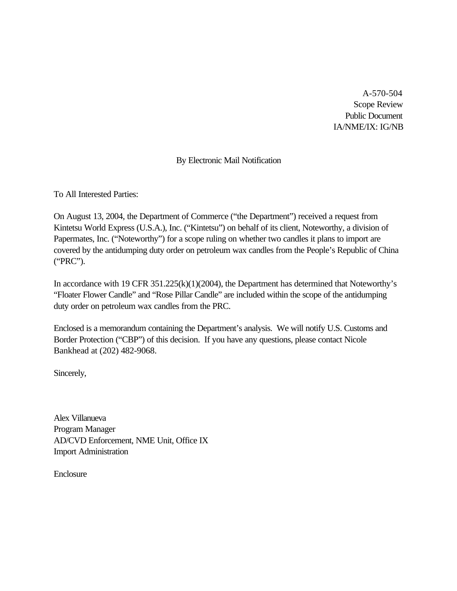A-570-504 Scope Review Public Document IA/NME/IX: IG/NB

# By Electronic Mail Notification

To All Interested Parties:

On August 13, 2004, the Department of Commerce ("the Department") received a request from Kintetsu World Express (U.S.A.), Inc. ("Kintetsu") on behalf of its client, Noteworthy, a division of Papermates, Inc. ("Noteworthy") for a scope ruling on whether two candles it plans to import are covered by the antidumping duty order on petroleum wax candles from the People's Republic of China ("PRC").

In accordance with 19 CFR 351.225(k)(1)(2004), the Department has determined that Noteworthy's "Floater Flower Candle" and "Rose Pillar Candle" are included within the scope of the antidumping duty order on petroleum wax candles from the PRC.

Enclosed is a memorandum containing the Department's analysis. We will notify U.S. Customs and Border Protection ("CBP") of this decision. If you have any questions, please contact Nicole Bankhead at (202) 482-9068.

Sincerely,

Alex Villanueva Program Manager AD/CVD Enforcement, NME Unit, Office IX Import Administration

Enclosure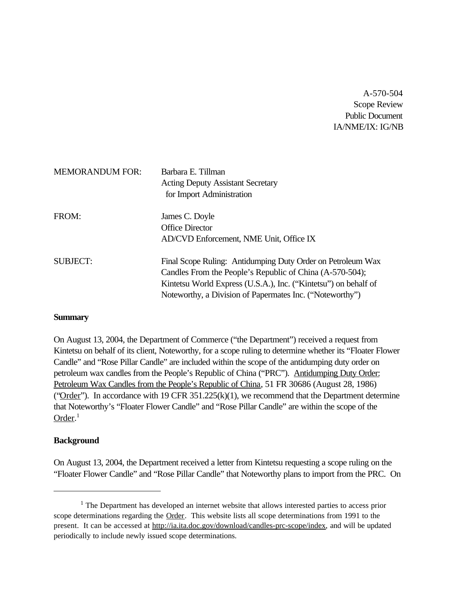A-570-504 Scope Review Public Document IA/NME/IX: IG/NB

| <b>MEMORANDUM FOR:</b> | Barbara E. Tillman<br><b>Acting Deputy Assistant Secretary</b><br>for Import Administration                                                                                                                                                            |
|------------------------|--------------------------------------------------------------------------------------------------------------------------------------------------------------------------------------------------------------------------------------------------------|
| FROM:                  | James C. Doyle<br><b>Office Director</b><br>AD/CVD Enforcement, NME Unit, Office IX                                                                                                                                                                    |
| <b>SUBJECT:</b>        | Final Scope Ruling: Antidumping Duty Order on Petroleum Wax<br>Candles From the People's Republic of China (A-570-504);<br>Kintetsu World Express (U.S.A.), Inc. ("Kintetsu") on behalf of<br>Noteworthy, a Division of Papermates Inc. ("Noteworthy") |

# **Summary**

On August 13, 2004, the Department of Commerce ("the Department") received a request from Kintetsu on behalf of its client, Noteworthy, for a scope ruling to determine whether its "Floater Flower Candle" and "Rose Pillar Candle" are included within the scope of the antidumping duty order on petroleum wax candles from the People's Republic of China ("PRC"). Antidumping Duty Order: Petroleum Wax Candles from the People's Republic of China, 51 FR 30686 (August 28, 1986) ("Order"). In accordance with 19 CFR  $351.225(k)(1)$ , we recommend that the Department determine that Noteworthy's "Floater Flower Candle" and "Rose Pillar Candle" are within the scope of the Order.<sup>1</sup>

# **Background**

On August 13, 2004, the Department received a letter from Kintetsu requesting a scope ruling on the "Floater Flower Candle" and "Rose Pillar Candle" that Noteworthy plans to import from the PRC. On

 $<sup>1</sup>$  The Department has developed an internet website that allows interested parties to access prior</sup> scope determinations regarding the Order. This website lists all scope determinations from 1991 to the present. It can be accessed at http://ia.ita.doc.gov/download/candles-prc-scope/index, and will be updated periodically to include newly issued scope determinations.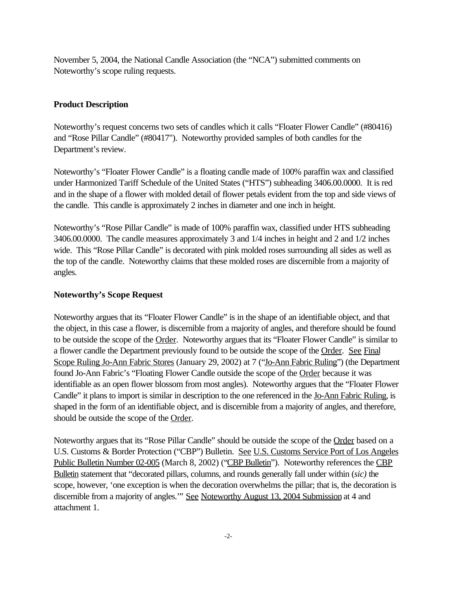November 5, 2004, the National Candle Association (the "NCA") submitted comments on Noteworthy's scope ruling requests.

# **Product Description**

Noteworthy's request concerns two sets of candles which it calls "Floater Flower Candle" (#80416) and "Rose Pillar Candle" (#80417"). Noteworthy provided samples of both candles for the Department's review.

Noteworthy's "Floater Flower Candle" is a floating candle made of 100% paraffin wax and classified under Harmonized Tariff Schedule of the United States ("HTS") subheading 3406.00.0000. It is red and in the shape of a flower with molded detail of flower petals evident from the top and side views of the candle. This candle is approximately 2 inches in diameter and one inch in height.

Noteworthy's "Rose Pillar Candle" is made of 100% paraffin wax, classified under HTS subheading 3406.00.0000. The candle measures approximately 3 and 1/4 inches in height and 2 and 1/2 inches wide. This "Rose Pillar Candle" is decorated with pink molded roses surrounding all sides as well as the top of the candle. Noteworthy claims that these molded roses are discernible from a majority of angles.

# **Noteworthy's Scope Request**

Noteworthy argues that its "Floater Flower Candle" is in the shape of an identifiable object, and that the object, in this case a flower, is discernible from a majority of angles, and therefore should be found to be outside the scope of the Order. Noteworthy argues that its "Floater Flower Candle" is similar to a flower candle the Department previously found to be outside the scope of the Order. See Final Scope Ruling Jo-Ann Fabric Stores (January 29, 2002) at 7 ("Jo-Ann Fabric Ruling") (the Department found Jo-Ann Fabric's "Floating Flower Candle outside the scope of the Order because it was identifiable as an open flower blossom from most angles). Noteworthy argues that the "Floater Flower Candle" it plans to import is similar in description to the one referenced in the Jo-Ann Fabric Ruling, is shaped in the form of an identifiable object, and is discernible from a majority of angles, and therefore, should be outside the scope of the Order.

Noteworthy argues that its "Rose Pillar Candle" should be outside the scope of the Order based on a U.S. Customs & Border Protection ("CBP") Bulletin. See U.S. Customs Service Port of Los Angeles Public Bulletin Number 02-005 (March 8, 2002) ("CBP Bulletin"). Noteworthy references the CBP Bulletin statement that "decorated pillars, columns, and rounds generally fall under within (*sic)* the scope, however, 'one exception is when the decoration overwhelms the pillar; that is, the decoration is discernible from a majority of angles." See Noteworthy August 13, 2004 Submission at 4 and attachment 1.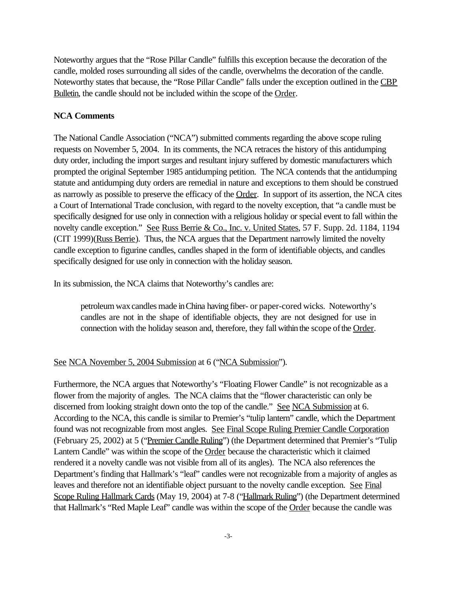Noteworthy argues that the "Rose Pillar Candle" fulfills this exception because the decoration of the candle, molded roses surrounding all sides of the candle, overwhelms the decoration of the candle. Noteworthy states that because, the "Rose Pillar Candle" falls under the exception outlined in the CBP Bulletin, the candle should not be included within the scope of the Order.

### **NCA Comments**

The National Candle Association ("NCA") submitted comments regarding the above scope ruling requests on November 5, 2004. In its comments, the NCA retraces the history of this antidumping duty order, including the import surges and resultant injury suffered by domestic manufacturers which prompted the original September 1985 antidumping petition. The NCA contends that the antidumping statute and antidumping duty orders are remedial in nature and exceptions to them should be construed as narrowly as possible to preserve the efficacy of the Order. In support of its assertion, the NCA cites a Court of International Trade conclusion, with regard to the novelty exception, that "a candle must be specifically designed for use only in connection with a religious holiday or special event to fall within the novelty candle exception." See Russ Berrie & Co., Inc. v. United States, 57 F. Supp. 2d. 1184, 1194 (CIT 1999)(Russ Berrie). Thus, the NCA argues that the Department narrowly limited the novelty candle exception to figurine candles, candles shaped in the form of identifiable objects, and candles specifically designed for use only in connection with the holiday season.

In its submission, the NCA claims that Noteworthy's candles are:

petroleum wax candles made in China having fiber- or paper-cored wicks. Noteworthy's candles are not in the shape of identifiable objects, they are not designed for use in connection with the holiday season and, therefore, they fall within the scope of the Order.

# See NCA November 5, 2004 Submission at 6 ("NCA Submission").

Furthermore, the NCA argues that Noteworthy's "Floating Flower Candle" is not recognizable as a flower from the majority of angles. The NCA claims that the "flower characteristic can only be discerned from looking straight down onto the top of the candle." See NCA Submission at 6. According to the NCA, this candle is similar to Premier's "tulip lantern" candle, which the Department found was not recognizable from most angles. See Final Scope Ruling Premier Candle Corporation (February 25, 2002) at 5 ("Premier Candle Ruling") (the Department determined that Premier's "Tulip Lantern Candle" was within the scope of the **Order** because the characteristic which it claimed rendered it a novelty candle was not visible from all of its angles). The NCA also references the Department's finding that Hallmark's "leaf" candles were not recognizable from a majority of angles as leaves and therefore not an identifiable object pursuant to the novelty candle exception. See Final Scope Ruling Hallmark Cards (May 19, 2004) at 7-8 ("Hallmark Ruling") (the Department determined that Hallmark's "Red Maple Leaf" candle was within the scope of the Order because the candle was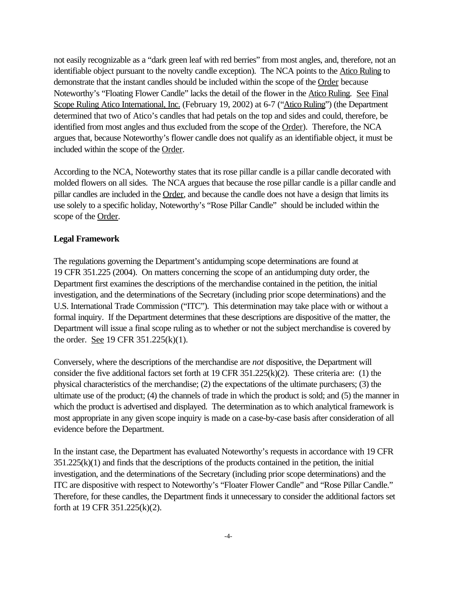not easily recognizable as a "dark green leaf with red berries" from most angles, and, therefore, not an identifiable object pursuant to the novelty candle exception). The NCA points to the Atico Ruling to demonstrate that the instant candles should be included within the scope of the Order because Noteworthy's "Floating Flower Candle" lacks the detail of the flower in the Atico Ruling. See Final Scope Ruling Atico International, Inc. (February 19, 2002) at 6-7 ("Atico Ruling") (the Department determined that two of Atico's candles that had petals on the top and sides and could, therefore, be identified from most angles and thus excluded from the scope of the Order). Therefore, the NCA argues that, because Noteworthy's flower candle does not qualify as an identifiable object, it must be included within the scope of the Order.

According to the NCA, Noteworthy states that its rose pillar candle is a pillar candle decorated with molded flowers on all sides. The NCA argues that because the rose pillar candle is a pillar candle and pillar candles are included in the Order, and because the candle does not have a design that limits its use solely to a specific holiday, Noteworthy's "Rose Pillar Candle" should be included within the scope of the Order.

# **Legal Framework**

The regulations governing the Department's antidumping scope determinations are found at 19 CFR 351.225 (2004). On matters concerning the scope of an antidumping duty order, the Department first examines the descriptions of the merchandise contained in the petition, the initial investigation, and the determinations of the Secretary (including prior scope determinations) and the U.S. International Trade Commission ("ITC"). This determination may take place with or without a formal inquiry. If the Department determines that these descriptions are dispositive of the matter, the Department will issue a final scope ruling as to whether or not the subject merchandise is covered by the order. See 19 CFR 351.225(k)(1).

Conversely, where the descriptions of the merchandise are *not* dispositive, the Department will consider the five additional factors set forth at 19 CFR 351.225(k)(2). These criteria are: (1) the physical characteristics of the merchandise; (2) the expectations of the ultimate purchasers; (3) the ultimate use of the product; (4) the channels of trade in which the product is sold; and (5) the manner in which the product is advertised and displayed. The determination as to which analytical framework is most appropriate in any given scope inquiry is made on a case-by-case basis after consideration of all evidence before the Department.

In the instant case, the Department has evaluated Noteworthy's requests in accordance with 19 CFR 351.225(k)(1) and finds that the descriptions of the products contained in the petition, the initial investigation, and the determinations of the Secretary (including prior scope determinations) and the ITC are dispositive with respect to Noteworthy's "Floater Flower Candle" and "Rose Pillar Candle." Therefore, for these candles, the Department finds it unnecessary to consider the additional factors set forth at 19 CFR 351.225(k)(2).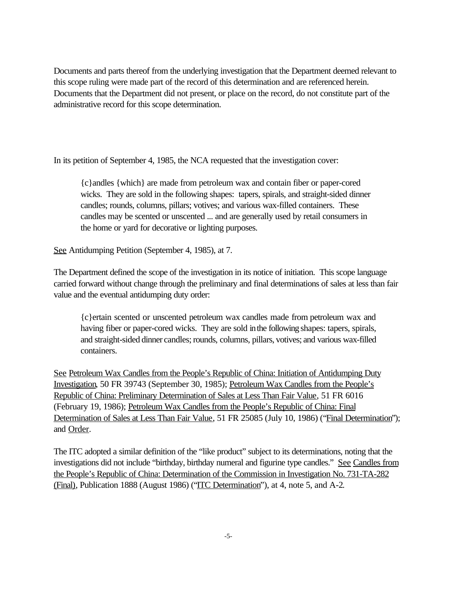Documents and parts thereof from the underlying investigation that the Department deemed relevant to this scope ruling were made part of the record of this determination and are referenced herein. Documents that the Department did not present, or place on the record, do not constitute part of the administrative record for this scope determination.

In its petition of September 4, 1985, the NCA requested that the investigation cover:

{c}andles {which} are made from petroleum wax and contain fiber or paper-cored wicks. They are sold in the following shapes: tapers, spirals, and straight-sided dinner candles; rounds, columns, pillars; votives; and various wax-filled containers. These candles may be scented or unscented ... and are generally used by retail consumers in the home or yard for decorative or lighting purposes.

See Antidumping Petition (September 4, 1985), at 7.

The Department defined the scope of the investigation in its notice of initiation. This scope language carried forward without change through the preliminary and final determinations of sales at less than fair value and the eventual antidumping duty order:

{c}ertain scented or unscented petroleum wax candles made from petroleum wax and having fiber or paper-cored wicks. They are sold inthe following shapes: tapers, spirals, and straight-sided dinner candles; rounds, columns, pillars, votives; and various wax-filled containers.

See Petroleum Wax Candles from the People's Republic of China: Initiation of Antidumping Duty Investigation, 50 FR 39743 (September 30, 1985); Petroleum Wax Candles from the People's Republic of China: Preliminary Determination of Sales at Less Than Fair Value, 51 FR 6016 (February 19, 1986); Petroleum Wax Candles from the People's Republic of China: Final Determination of Sales at Less Than Fair Value, 51 FR 25085 (July 10, 1986) ("Final Determination"); and Order.

The ITC adopted a similar definition of the "like product" subject to its determinations, noting that the investigations did not include "birthday, birthday numeral and figurine type candles." See Candles from the People's Republic of China: Determination of the Commission in Investigation No. 731-TA-282 (Final), Publication 1888 (August 1986) ("ITC Determination"), at 4, note 5, and A-2.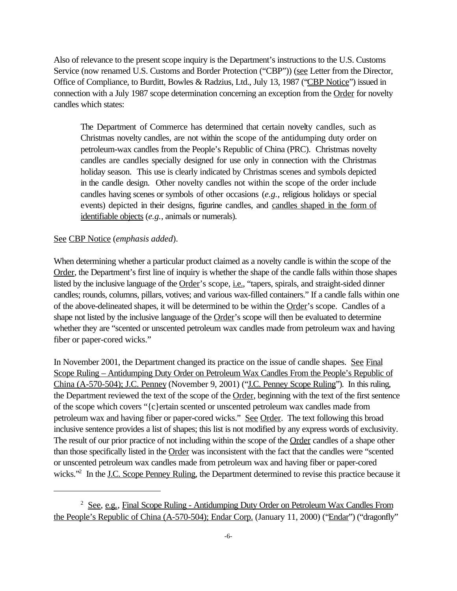Also of relevance to the present scope inquiry is the Department's instructions to the U.S. Customs Service (now renamed U.S. Customs and Border Protection ("CBP")) (see Letter from the Director, Office of Compliance, to Burditt, Bowles & Radzius, Ltd., July 13, 1987 ("CBP Notice") issued in connection with a July 1987 scope determination concerning an exception from the Order for novelty candles which states:

The Department of Commerce has determined that certain novelty candles, such as Christmas novelty candles, are not within the scope of the antidumping duty order on petroleum-wax candles from the People's Republic of China (PRC). Christmas novelty candles are candles specially designed for use only in connection with the Christmas holiday season. This use is clearly indicated by Christmas scenes and symbols depicted in the candle design. Other novelty candles not within the scope of the order include candles having scenes or symbols of other occasions (*e.g.*, religious holidays or special events) depicted in their designs, figurine candles, and candles shaped in the form of identifiable objects (*e.g.*, animals or numerals).

### See CBP Notice (*emphasis added*).

When determining whether a particular product claimed as a novelty candle is within the scope of the Order, the Department's first line of inquiry is whether the shape of the candle falls within those shapes listed by the inclusive language of the Order's scope, *i.e.*, "tapers, spirals, and straight-sided dinner candles; rounds, columns, pillars, votives; and various wax-filled containers." If a candle falls within one of the above-delineated shapes, it will be determined to be within the Order's scope. Candles of a shape not listed by the inclusive language of the Order's scope will then be evaluated to determine whether they are "scented or unscented petroleum wax candles made from petroleum wax and having fiber or paper-cored wicks."

In November 2001, the Department changed its practice on the issue of candle shapes. See Final Scope Ruling – Antidumping Duty Order on Petroleum Wax Candles From the People's Republic of China (A-570-504); J.C. Penney (November 9, 2001) ("J.C. Penney Scope Ruling"). In this ruling, the Department reviewed the text of the scope of the Order, beginning with the text of the first sentence of the scope which covers "{c}ertain scented or unscented petroleum wax candles made from petroleum wax and having fiber or paper-cored wicks." See Order. The text following this broad inclusive sentence provides a list of shapes; this list is not modified by any express words of exclusivity. The result of our prior practice of not including within the scope of the Order candles of a shape other than those specifically listed in the Order was inconsistent with the fact that the candles were "scented or unscented petroleum wax candles made from petroleum wax and having fiber or paper-cored wicks."<sup>2</sup> In the J.C. Scope Penney Ruling, the Department determined to revise this practice because it

<sup>&</sup>lt;sup>2</sup> See, e.g., Final Scope Ruling - Antidumping Duty Order on Petroleum Wax Candles From the People's Republic of China (A-570-504); Endar Corp. (January 11, 2000) ("Endar") ("dragonfly"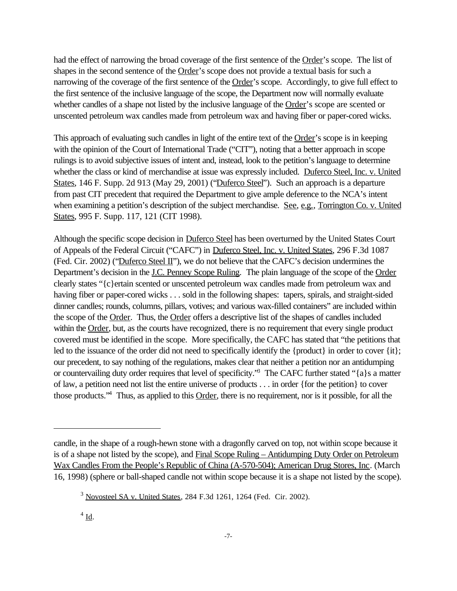had the effect of narrowing the broad coverage of the first sentence of the Order's scope. The list of shapes in the second sentence of the Order's scope does not provide a textual basis for such a narrowing of the coverage of the first sentence of the Order's scope. Accordingly, to give full effect to the first sentence of the inclusive language of the scope, the Department now will normally evaluate whether candles of a shape not listed by the inclusive language of the Order's scope are scented or unscented petroleum wax candles made from petroleum wax and having fiber or paper-cored wicks.

This approach of evaluating such candles in light of the entire text of the Order's scope is in keeping with the opinion of the Court of International Trade ("CIT"), noting that a better approach in scope rulings is to avoid subjective issues of intent and, instead, look to the petition's language to determine whether the class or kind of merchandise at issue was expressly included. Duferco Steel, Inc. v. United States, 146 F. Supp. 2d 913 (May 29, 2001) ("Duferco Steel"). Such an approach is a departure from past CIT precedent that required the Department to give ample deference to the NCA's intent when examining a petition's description of the subject merchandise. See, e.g., Torrington Co. v. United States, 995 F. Supp. 117, 121 (CIT 1998).

Although the specific scope decision in Duferco Steel has been overturned by the United States Court of Appeals of the Federal Circuit ("CAFC") in Duferco Steel, Inc. v. United States, 296 F.3d 1087 (Fed. Cir. 2002) ("Duferco Steel II"), we do not believe that the CAFC's decision undermines the Department's decision in the J.C. Penney Scope Ruling. The plain language of the scope of the Order clearly states "{c}ertain scented or unscented petroleum wax candles made from petroleum wax and having fiber or paper-cored wicks . . . sold in the following shapes: tapers, spirals, and straight-sided dinner candles; rounds, columns, pillars, votives; and various wax-filled containers" are included within the scope of the Order. Thus, the Order offers a descriptive list of the shapes of candles included within the Order, but, as the courts have recognized, there is no requirement that every single product covered must be identified in the scope. More specifically, the CAFC has stated that "the petitions that led to the issuance of the order did not need to specifically identify the {product} in order to cover {it}; our precedent, to say nothing of the regulations, makes clear that neither a petition nor an antidumping or countervailing duty order requires that level of specificity."<sup>3</sup> The CAFC further stated "{a}s a matter of law, a petition need not list the entire universe of products . . . in order {for the petition} to cover those products."<sup>4</sup> Thus, as applied to this Order, there is no requirement, nor is it possible, for all the

candle, in the shape of a rough-hewn stone with a dragonfly carved on top, not within scope because it is of a shape not listed by the scope), and Final Scope Ruling – Antidumping Duty Order on Petroleum Wax Candles From the People's Republic of China (A-570-504); American Drug Stores, Inc. (March 16, 1998) (sphere or ball-shaped candle not within scope because it is a shape not listed by the scope).

<sup>3</sup> Novosteel SA v. United States, 284 F.3d 1261, 1264 (Fed. Cir. 2002).

 $4 \underline{\text{Id}}$ .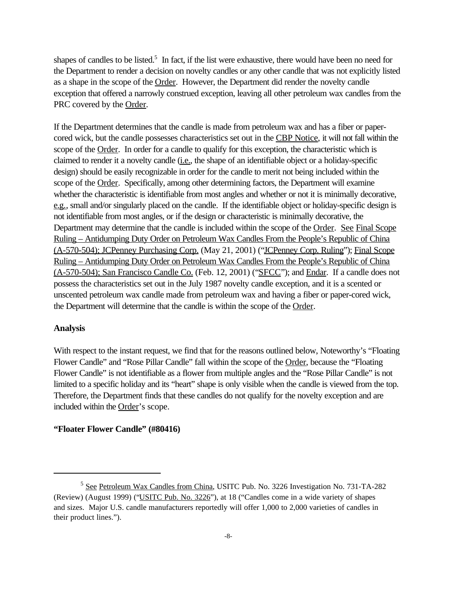shapes of candles to be listed.<sup>5</sup> In fact, if the list were exhaustive, there would have been no need for the Department to render a decision on novelty candles or any other candle that was not explicitly listed as a shape in the scope of the Order. However, the Department did render the novelty candle exception that offered a narrowly construed exception, leaving all other petroleum wax candles from the PRC covered by the Order.

If the Department determines that the candle is made from petroleum wax and has a fiber or papercored wick, but the candle possesses characteristics set out in the CBP Notice, it will not fall within the scope of the Order. In order for a candle to qualify for this exception, the characteristic which is claimed to render it a novelty candle (i.e., the shape of an identifiable object or a holiday-specific design) should be easily recognizable in order for the candle to merit not being included within the scope of the Order. Specifically, among other determining factors, the Department will examine whether the characteristic is identifiable from most angles and whether or not it is minimally decorative, e.g., small and/or singularly placed on the candle. If the identifiable object or holiday-specific design is not identifiable from most angles, or if the design or characteristic is minimally decorative, the Department may determine that the candle is included within the scope of the Order. See Final Scope Ruling – Antidumping Duty Order on Petroleum Wax Candles From the People's Republic of China (A-570-504); JCPenney Purchasing Corp. (May 21, 2001) ("JCPenney Corp. Ruling"); Final Scope Ruling – Antidumping Duty Order on Petroleum Wax Candles From the People's Republic of China (A-570-504); San Francisco Candle Co. (Feb. 12, 2001) ("SFCC"); and Endar. If a candle does not possess the characteristics set out in the July 1987 novelty candle exception, and it is a scented or unscented petroleum wax candle made from petroleum wax and having a fiber or paper-cored wick, the Department will determine that the candle is within the scope of the Order.

# **Analysis**

With respect to the instant request, we find that for the reasons outlined below, Noteworthy's "Floating Flower Candle" and "Rose Pillar Candle" fall within the scope of the Order, because the "Floating Flower Candle" is not identifiable as a flower from multiple angles and the "Rose Pillar Candle" is not limited to a specific holiday and its "heart" shape is only visible when the candle is viewed from the top. Therefore, the Department finds that these candles do not qualify for the novelty exception and are included within the Order's scope.

# **"Floater Flower Candle" (#80416)**

<sup>&</sup>lt;sup>5</sup> See Petroleum Wax Candles from China, USITC Pub. No. 3226 Investigation No. 731-TA-282 (Review) (August 1999) ("USITC Pub. No. 3226"), at 18 ("Candles come in a wide variety of shapes and sizes. Major U.S. candle manufacturers reportedly will offer 1,000 to 2,000 varieties of candles in their product lines.").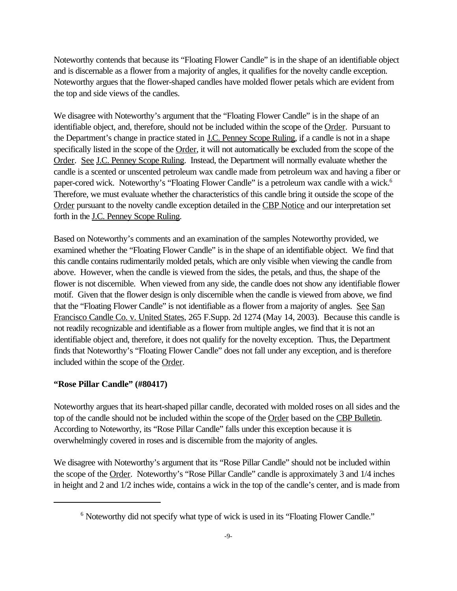Noteworthy contends that because its "Floating Flower Candle" is in the shape of an identifiable object and is discernable as a flower from a majority of angles, it qualifies for the novelty candle exception. Noteworthy argues that the flower-shaped candles have molded flower petals which are evident from the top and side views of the candles.

We disagree with Noteworthy's argument that the "Floating Flower Candle" is in the shape of an identifiable object, and, therefore, should not be included within the scope of the Order. Pursuant to the Department's change in practice stated in J.C. Penney Scope Ruling, if a candle is not in a shape specifically listed in the scope of the Order, it will not automatically be excluded from the scope of the Order. See J.C. Penney Scope Ruling. Instead, the Department will normally evaluate whether the candle is a scented or unscented petroleum wax candle made from petroleum wax and having a fiber or paper-cored wick. Noteworthy's "Floating Flower Candle" is a petroleum wax candle with a wick.<sup>6</sup> Therefore, we must evaluate whether the characteristics of this candle bring it outside the scope of the Order pursuant to the novelty candle exception detailed in the CBP Notice and our interpretation set forth in the J.C. Penney Scope Ruling.

Based on Noteworthy's comments and an examination of the samples Noteworthy provided, we examined whether the "Floating Flower Candle" is in the shape of an identifiable object. We find that this candle contains rudimentarily molded petals, which are only visible when viewing the candle from above. However, when the candle is viewed from the sides, the petals, and thus, the shape of the flower is not discernible. When viewed from any side, the candle does not show any identifiable flower motif. Given that the flower design is only discernible when the candle is viewed from above, we find that the "Floating Flower Candle" is not identifiable as a flower from a majority of angles. See San Francisco Candle Co. v. United States, 265 F.Supp. 2d 1274 (May 14, 2003). Because this candle is not readily recognizable and identifiable as a flower from multiple angles, we find that it is not an identifiable object and, therefore, it does not qualify for the novelty exception. Thus, the Department finds that Noteworthy's "Floating Flower Candle" does not fall under any exception, and is therefore included within the scope of the Order.

# **"Rose Pillar Candle" (#80417)**

Noteworthy argues that its heart-shaped pillar candle, decorated with molded roses on all sides and the top of the candle should not be included within the scope of the Order based on the CBP Bulletin. According to Noteworthy, its "Rose Pillar Candle" falls under this exception because it is overwhelmingly covered in roses and is discernible from the majority of angles.

We disagree with Noteworthy's argument that its "Rose Pillar Candle" should not be included within the scope of the Order. Noteworthy's "Rose Pillar Candle" candle is approximately 3 and 1/4 inches in height and 2 and 1/2 inches wide, contains a wick in the top of the candle's center, and is made from

<sup>&</sup>lt;sup>6</sup> Noteworthy did not specify what type of wick is used in its "Floating Flower Candle."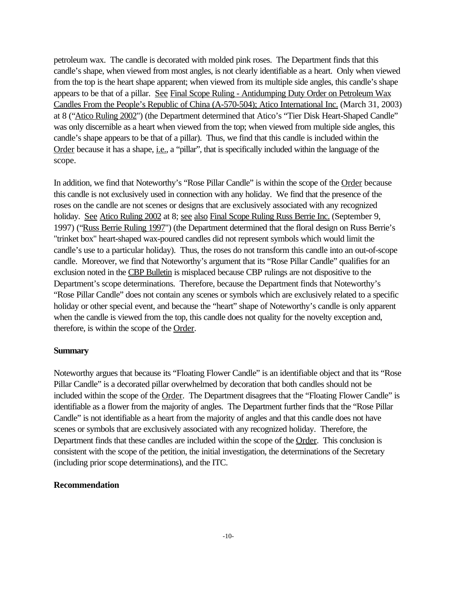petroleum wax. The candle is decorated with molded pink roses. The Department finds that this candle's shape, when viewed from most angles, is not clearly identifiable as a heart. Only when viewed from the top is the heart shape apparent; when viewed from its multiple side angles, this candle's shape appears to be that of a pillar. See Final Scope Ruling - Antidumping Duty Order on Petroleum Wax Candles From the People's Republic of China (A-570-504); Atico International Inc. (March 31, 2003) at 8 ("Atico Ruling 2002") (the Department determined that Atico's "Tier Disk Heart-Shaped Candle" was only discernible as a heart when viewed from the top; when viewed from multiple side angles, this candle's shape appears to be that of a pillar). Thus, we find that this candle is included within the Order because it has a shape, i.e., a "pillar", that is specifically included within the language of the scope.

In addition, we find that Noteworthy's "Rose Pillar Candle" is within the scope of the Order because this candle is not exclusively used in connection with any holiday. We find that the presence of the roses on the candle are not scenes or designs that are exclusively associated with any recognized holiday. See Atico Ruling 2002 at 8; see also Final Scope Ruling Russ Berrie Inc. (September 9, 1997) ("Russ Berrie Ruling 1997") (the Department determined that the floral design on Russ Berrie's "trinket box" heart-shaped wax-poured candles did not represent symbols which would limit the candle's use to a particular holiday). Thus, the roses do not transform this candle into an out-of-scope candle. Moreover, we find that Noteworthy's argument that its "Rose Pillar Candle" qualifies for an exclusion noted in the CBP Bulletin is misplaced because CBP rulings are not dispositive to the Department's scope determinations. Therefore, because the Department finds that Noteworthy's "Rose Pillar Candle" does not contain any scenes or symbols which are exclusively related to a specific holiday or other special event, and because the "heart" shape of Noteworthy's candle is only apparent when the candle is viewed from the top, this candle does not quality for the novelty exception and, therefore, is within the scope of the Order.

### **Summary**

Noteworthy argues that because its "Floating Flower Candle" is an identifiable object and that its "Rose Pillar Candle" is a decorated pillar overwhelmed by decoration that both candles should not be included within the scope of the Order. The Department disagrees that the "Floating Flower Candle" is identifiable as a flower from the majority of angles. The Department further finds that the "Rose Pillar Candle" is not identifiable as a heart from the majority of angles and that this candle does not have scenes or symbols that are exclusively associated with any recognized holiday. Therefore, the Department finds that these candles are included within the scope of the Order. This conclusion is consistent with the scope of the petition, the initial investigation, the determinations of the Secretary (including prior scope determinations), and the ITC.

#### **Recommendation**